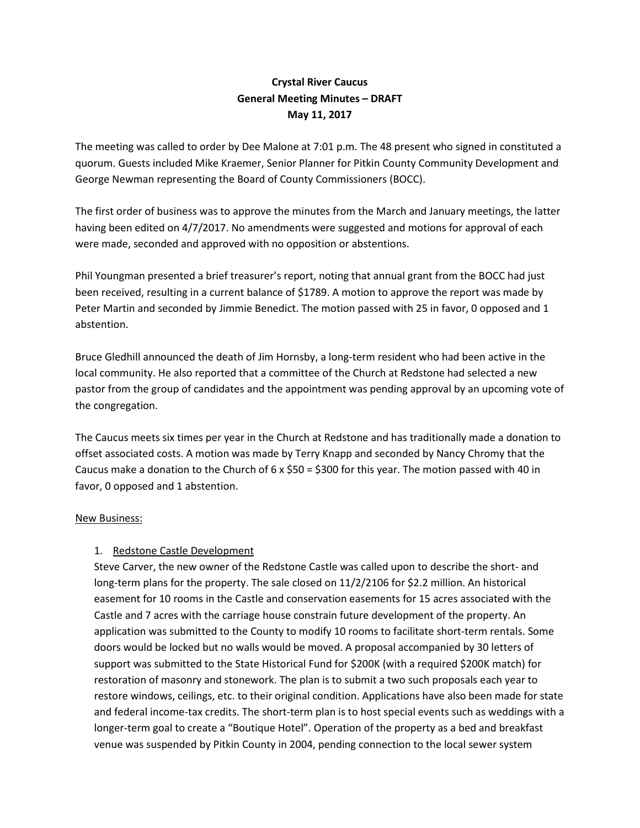## **Crystal River Caucus General Meeting Minutes – DRAFT May 11, 2017**

The meeting was called to order by Dee Malone at 7:01 p.m. The 48 present who signed in constituted a quorum. Guests included Mike Kraemer, Senior Planner for Pitkin County Community Development and George Newman representing the Board of County Commissioners (BOCC).

The first order of business was to approve the minutes from the March and January meetings, the latter having been edited on 4/7/2017. No amendments were suggested and motions for approval of each were made, seconded and approved with no opposition or abstentions.

Phil Youngman presented a brief treasurer's report, noting that annual grant from the BOCC had just been received, resulting in a current balance of \$1789. A motion to approve the report was made by Peter Martin and seconded by Jimmie Benedict. The motion passed with 25 in favor, 0 opposed and 1 abstention.

Bruce Gledhill announced the death of Jim Hornsby, a long-term resident who had been active in the local community. He also reported that a committee of the Church at Redstone had selected a new pastor from the group of candidates and the appointment was pending approval by an upcoming vote of the congregation.

The Caucus meets six times per year in the Church at Redstone and has traditionally made a donation to offset associated costs. A motion was made by Terry Knapp and seconded by Nancy Chromy that the Caucus make a donation to the Church of 6 x \$50 = \$300 for this year. The motion passed with 40 in favor, 0 opposed and 1 abstention.

## New Business:

## 1. Redstone Castle Development

Steve Carver, the new owner of the Redstone Castle was called upon to describe the short- and long-term plans for the property. The sale closed on 11/2/2106 for \$2.2 million. An historical easement for 10 rooms in the Castle and conservation easements for 15 acres associated with the Castle and 7 acres with the carriage house constrain future development of the property. An application was submitted to the County to modify 10 rooms to facilitate short-term rentals. Some doors would be locked but no walls would be moved. A proposal accompanied by 30 letters of support was submitted to the State Historical Fund for \$200K (with a required \$200K match) for restoration of masonry and stonework. The plan is to submit a two such proposals each year to restore windows, ceilings, etc. to their original condition. Applications have also been made for state and federal income-tax credits. The short-term plan is to host special events such as weddings with a longer-term goal to create a "Boutique Hotel". Operation of the property as a bed and breakfast venue was suspended by Pitkin County in 2004, pending connection to the local sewer system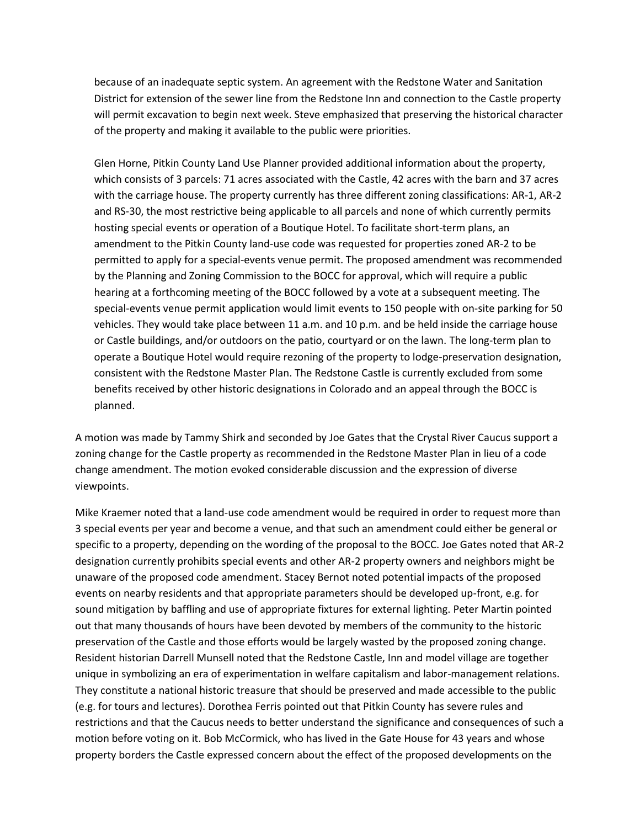because of an inadequate septic system. An agreement with the Redstone Water and Sanitation District for extension of the sewer line from the Redstone Inn and connection to the Castle property will permit excavation to begin next week. Steve emphasized that preserving the historical character of the property and making it available to the public were priorities.

Glen Horne, Pitkin County Land Use Planner provided additional information about the property, which consists of 3 parcels: 71 acres associated with the Castle, 42 acres with the barn and 37 acres with the carriage house. The property currently has three different zoning classifications: AR-1, AR-2 and RS-30, the most restrictive being applicable to all parcels and none of which currently permits hosting special events or operation of a Boutique Hotel. To facilitate short-term plans, an amendment to the Pitkin County land-use code was requested for properties zoned AR-2 to be permitted to apply for a special-events venue permit. The proposed amendment was recommended by the Planning and Zoning Commission to the BOCC for approval, which will require a public hearing at a forthcoming meeting of the BOCC followed by a vote at a subsequent meeting. The special-events venue permit application would limit events to 150 people with on-site parking for 50 vehicles. They would take place between 11 a.m. and 10 p.m. and be held inside the carriage house or Castle buildings, and/or outdoors on the patio, courtyard or on the lawn. The long-term plan to operate a Boutique Hotel would require rezoning of the property to lodge-preservation designation, consistent with the Redstone Master Plan. The Redstone Castle is currently excluded from some benefits received by other historic designations in Colorado and an appeal through the BOCC is planned.

A motion was made by Tammy Shirk and seconded by Joe Gates that the Crystal River Caucus support a zoning change for the Castle property as recommended in the Redstone Master Plan in lieu of a code change amendment. The motion evoked considerable discussion and the expression of diverse viewpoints.

Mike Kraemer noted that a land-use code amendment would be required in order to request more than 3 special events per year and become a venue, and that such an amendment could either be general or specific to a property, depending on the wording of the proposal to the BOCC. Joe Gates noted that AR-2 designation currently prohibits special events and other AR-2 property owners and neighbors might be unaware of the proposed code amendment. Stacey Bernot noted potential impacts of the proposed events on nearby residents and that appropriate parameters should be developed up-front, e.g. for sound mitigation by baffling and use of appropriate fixtures for external lighting. Peter Martin pointed out that many thousands of hours have been devoted by members of the community to the historic preservation of the Castle and those efforts would be largely wasted by the proposed zoning change. Resident historian Darrell Munsell noted that the Redstone Castle, Inn and model village are together unique in symbolizing an era of experimentation in welfare capitalism and labor-management relations. They constitute a national historic treasure that should be preserved and made accessible to the public (e.g. for tours and lectures). Dorothea Ferris pointed out that Pitkin County has severe rules and restrictions and that the Caucus needs to better understand the significance and consequences of such a motion before voting on it. Bob McCormick, who has lived in the Gate House for 43 years and whose property borders the Castle expressed concern about the effect of the proposed developments on the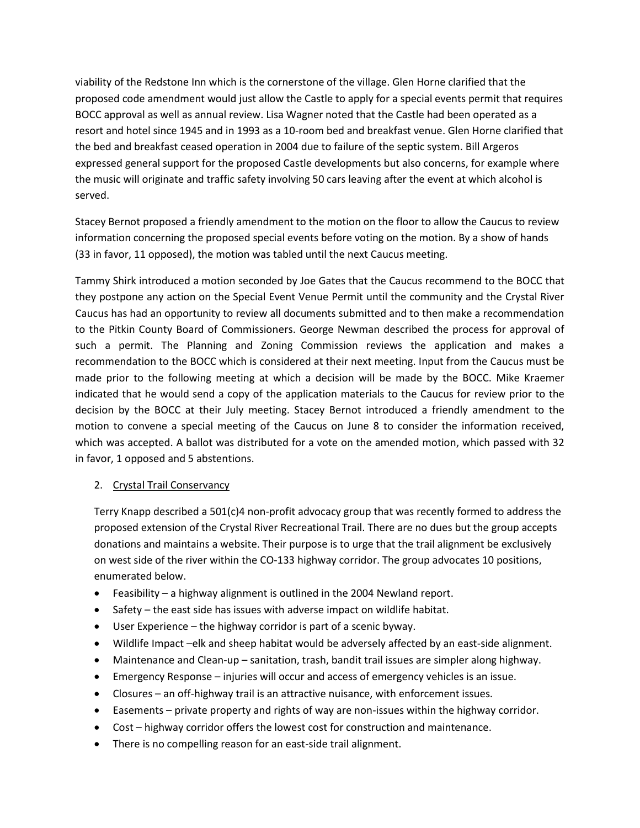viability of the Redstone Inn which is the cornerstone of the village. Glen Horne clarified that the proposed code amendment would just allow the Castle to apply for a special events permit that requires BOCC approval as well as annual review. Lisa Wagner noted that the Castle had been operated as a resort and hotel since 1945 and in 1993 as a 10-room bed and breakfast venue. Glen Horne clarified that the bed and breakfast ceased operation in 2004 due to failure of the septic system. Bill Argeros expressed general support for the proposed Castle developments but also concerns, for example where the music will originate and traffic safety involving 50 cars leaving after the event at which alcohol is served.

Stacey Bernot proposed a friendly amendment to the motion on the floor to allow the Caucus to review information concerning the proposed special events before voting on the motion. By a show of hands (33 in favor, 11 opposed), the motion was tabled until the next Caucus meeting.

Tammy Shirk introduced a motion seconded by Joe Gates that the Caucus recommend to the BOCC that they postpone any action on the Special Event Venue Permit until the community and the Crystal River Caucus has had an opportunity to review all documents submitted and to then make a recommendation to the Pitkin County Board of Commissioners. George Newman described the process for approval of such a permit. The Planning and Zoning Commission reviews the application and makes a recommendation to the BOCC which is considered at their next meeting. Input from the Caucus must be made prior to the following meeting at which a decision will be made by the BOCC. Mike Kraemer indicated that he would send a copy of the application materials to the Caucus for review prior to the decision by the BOCC at their July meeting. Stacey Bernot introduced a friendly amendment to the motion to convene a special meeting of the Caucus on June 8 to consider the information received, which was accepted. A ballot was distributed for a vote on the amended motion, which passed with 32 in favor, 1 opposed and 5 abstentions.

## 2. Crystal Trail Conservancy

Terry Knapp described a 501(c)4 non-profit advocacy group that was recently formed to address the proposed extension of the Crystal River Recreational Trail. There are no dues but the group accepts donations and maintains a website. Their purpose is to urge that the trail alignment be exclusively on west side of the river within the CO-133 highway corridor. The group advocates 10 positions, enumerated below.

- Feasibility a highway alignment is outlined in the 2004 Newland report.
- Safety the east side has issues with adverse impact on wildlife habitat.
- User Experience the highway corridor is part of a scenic byway.
- Wildlife Impact –elk and sheep habitat would be adversely affected by an east-side alignment.
- Maintenance and Clean-up sanitation, trash, bandit trail issues are simpler along highway.
- Emergency Response injuries will occur and access of emergency vehicles is an issue.
- Closures an off-highway trail is an attractive nuisance, with enforcement issues.
- Easements private property and rights of way are non-issues within the highway corridor.
- Cost highway corridor offers the lowest cost for construction and maintenance.
- There is no compelling reason for an east-side trail alignment.